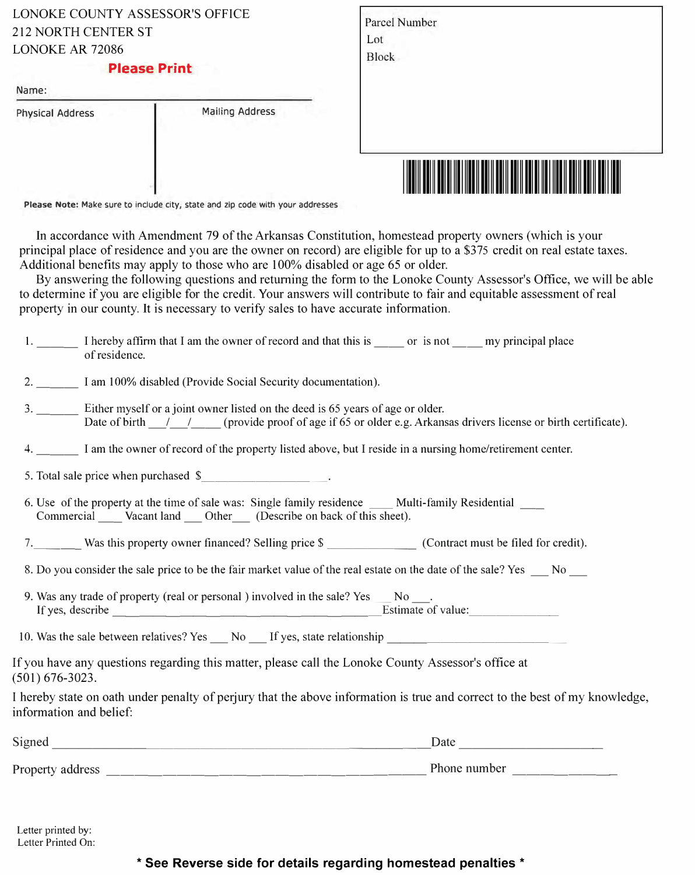| LONOKE COUNTY ASSESSOR'S OFFICE |
|---------------------------------|
| 212 NORTH CENTER ST             |
| LONOKE AR 72086                 |

## **Please Print**

| <b>Physical Address</b> | <b>Mailing Address</b> |
|-------------------------|------------------------|
|                         |                        |

|              |               | WW | ║ | <b>IIII IIIIII</b> | ║ |  |
|--------------|---------------|----|---|--------------------|---|--|
|              |               |    |   |                    |   |  |
|              |               |    |   |                    |   |  |
| <b>Block</b> |               |    |   |                    |   |  |
| Lot          |               |    |   |                    |   |  |
|              | Parcel Number |    |   |                    |   |  |

Please Note: Make sure to include city, state and zip code with your addresses

In accordance with Amendment 79 of the Arkansas Constitution, homestead property owners (which is your principal place of residence and you are the owner on record) are eligible for up to a \$375 credit on real estate taxes. Additional benefits may apply to those who are 100% disabled or age 65 or older.

By answering the following questions and returning the form to the Lonoke County Assessor's Office, we will be able to determine if you are eligible for the credit. Your answers will contribute to fair and equitable assessment of real property in our county. It is necessary to verify sales to have accurate information.

| $1.$ $\blacksquare$     | I hereby affirm that I am the owner of record and that this is ______ or is not ______ my principal place<br>of residence.                                                                                |
|-------------------------|-----------------------------------------------------------------------------------------------------------------------------------------------------------------------------------------------------------|
|                         | 2. I am 100% disabled (Provide Social Security documentation).                                                                                                                                            |
|                         | 3. Either myself or a joint owner listed on the deed is 65 years of age or older.<br>Date of birth _____________(provide proof of age if 65 or older e.g. Arkansas drivers license or birth certificate). |
|                         | 4. I am the owner of record of the property listed above, but I reside in a nursing home/retirement center.                                                                                               |
|                         | 5. Total sale price when purchased \$                                                                                                                                                                     |
|                         | 6. Use of the property at the time of sale was: Single family residence _____ Multi-family Residential _____<br>Commercial ______ Vacant land _____ Other _____ (Describe on back of this sheet).         |
|                         |                                                                                                                                                                                                           |
|                         | 8. Do you consider the sale price to be the fair market value of the real estate on the date of the sale? Yes No                                                                                          |
|                         | 9. Was any trade of property (real or personal ) involved in the sale? Yes __ No ___.                                                                                                                     |
|                         | 10. Was the sale between relatives? Yes No If yes, state relationship                                                                                                                                     |
| $(501) 676 - 3023.$     | If you have any questions regarding this matter, please call the Lonoke County Assessor's office at                                                                                                       |
| information and belief: | I hereby state on oath under penalty of perjury that the above information is true and correct to the best of my knowledge,                                                                               |
|                         | $\frac{\text{Date}}{\text{Date}}$                                                                                                                                                                         |
|                         |                                                                                                                                                                                                           |
|                         |                                                                                                                                                                                                           |

Letter printed by: Letter Printed On:

## **\* See Reverse side for details regarding homestead penalties \***